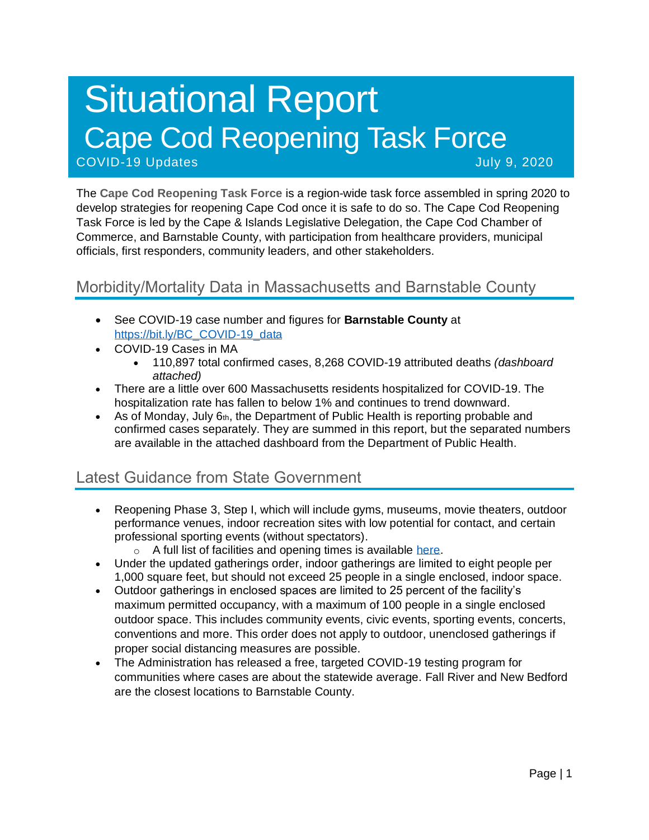# Situational Report Cape Cod Reopening Task Force COVID-19 Updates July 9, 2020

The **Cape Cod Reopening Task Force** is a region-wide task force assembled in spring 2020 to develop strategies for reopening Cape Cod once it is safe to do so. The Cape Cod Reopening Task Force is led by the Cape & Islands Legislative Delegation, the Cape Cod Chamber of Commerce, and Barnstable County, with participation from healthcare providers, municipal officials, first responders, community leaders, and other stakeholders.

# Morbidity/Mortality Data in Massachusetts and Barnstable County

- See COVID-19 case number and figures for **Barnstable County** at [https://bit.ly/BC\\_COVID-19\\_data](https://bit.ly/BC_COVID-19_data)
- COVID-19 Cases in MA
	- 110,897 total confirmed cases, 8,268 COVID-19 attributed deaths *(dashboard attached)*
- There are a little over 600 Massachusetts residents hospitalized for COVID-19. The hospitalization rate has fallen to below 1% and continues to trend downward.
- As of Monday, July  $6<sub>th</sub>$ , the Department of Public Health is reporting probable and confirmed cases separately. They are summed in this report, but the separated numbers are available in the attached dashboard from the Department of Public Health.

## Latest Guidance from State Government

- Reopening Phase 3, Step I, which will include gyms, museums, movie theaters, outdoor performance venues, indoor recreation sites with low potential for contact, and certain professional sporting events (without spectators).
	- o A full list of facilities and opening times is available [here.](https://www.mass.gov/info-details/reopening-when-can-my-business-reopen)
- Under the updated gatherings order, indoor gatherings are limited to eight people per 1,000 square feet, but should not exceed 25 people in a single enclosed, indoor space.
- Outdoor gatherings in enclosed spaces are limited to 25 percent of the facility's maximum permitted occupancy, with a maximum of 100 people in a single enclosed outdoor space. This includes community events, civic events, sporting events, concerts, conventions and more. This order does not apply to outdoor, unenclosed gatherings if proper social distancing measures are possible.
- The Administration has released a free, targeted COVID-19 testing program for communities where cases are about the statewide average. Fall River and New Bedford are the closest locations to Barnstable County.